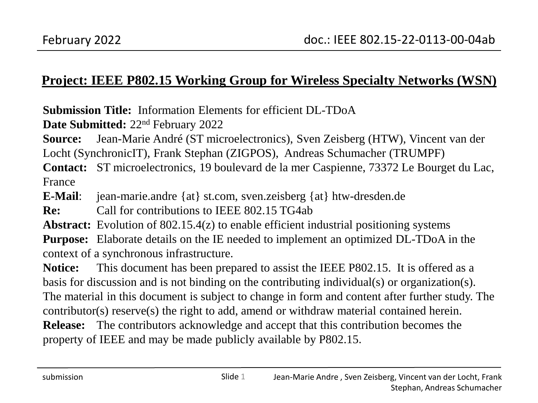#### **Project: IEEE P802.15 Working Group for Wireless Specialty Networks (WSN)**

**Submission Title:** Information Elements for efficient DL-TDoA

**Date Submitted:** 22nd February 2022

**Source:** Jean-Marie André (ST microelectronics), Sven Zeisberg (HTW), Vincent van der Locht (SynchronicIT), Frank Stephan (ZIGPOS), Andreas Schumacher (TRUMPF)

**Contact:** ST microelectronics, 19 boulevard de la mer Caspienne, 73372 Le Bourget du Lac, France

**E-Mail**: jean-marie.andre {at} st.com, sven.zeisberg {at} htw-dresden.de

**Re:** Call for contributions to IEEE 802.15 TG4ab

**Abstract:** Evolution of 802.15.4(z) to enable efficient industrial positioning systems

**Purpose:** Elaborate details on the IE needed to implement an optimized DL-TDoA in the context of a synchronous infrastructure.

**Notice:** This document has been prepared to assist the IEEE P802.15. It is offered as a basis for discussion and is not binding on the contributing individual(s) or organization(s). The material in this document is subject to change in form and content after further study. The contributor(s) reserve(s) the right to add, amend or withdraw material contained herein. **Release:** The contributors acknowledge and accept that this contribution becomes the property of IEEE and may be made publicly available by P802.15.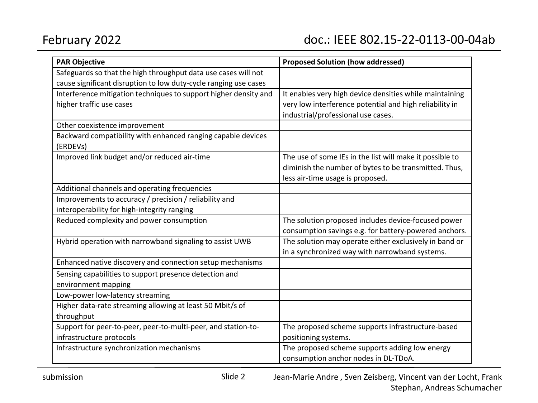| <b>PAR Objective</b>                                             | <b>Proposed Solution (how addressed)</b>                 |
|------------------------------------------------------------------|----------------------------------------------------------|
| Safeguards so that the high throughput data use cases will not   |                                                          |
| cause significant disruption to low duty-cycle ranging use cases |                                                          |
| Interference mitigation techniques to support higher density and | It enables very high device densities while maintaining  |
| higher traffic use cases                                         | very low interference potential and high reliability in  |
|                                                                  | industrial/professional use cases.                       |
| Other coexistence improvement                                    |                                                          |
| Backward compatibility with enhanced ranging capable devices     |                                                          |
| (ERDEVs)                                                         |                                                          |
| Improved link budget and/or reduced air-time                     | The use of some IEs in the list will make it possible to |
|                                                                  | diminish the number of bytes to be transmitted. Thus,    |
|                                                                  | less air-time usage is proposed.                         |
| Additional channels and operating frequencies                    |                                                          |
| Improvements to accuracy / precision / reliability and           |                                                          |
| interoperability for high-integrity ranging                      |                                                          |
| Reduced complexity and power consumption                         | The solution proposed includes device-focused power      |
|                                                                  | consumption savings e.g. for battery-powered anchors.    |
| Hybrid operation with narrowband signaling to assist UWB         | The solution may operate either exclusively in band or   |
|                                                                  | in a synchronized way with narrowband systems.           |
| Enhanced native discovery and connection setup mechanisms        |                                                          |
| Sensing capabilities to support presence detection and           |                                                          |
| environment mapping                                              |                                                          |
| Low-power low-latency streaming                                  |                                                          |
| Higher data-rate streaming allowing at least 50 Mbit/s of        |                                                          |
| throughput                                                       |                                                          |
| Support for peer-to-peer, peer-to-multi-peer, and station-to-    | The proposed scheme supports infrastructure-based        |
| infrastructure protocols                                         | positioning systems.                                     |
| Infrastructure synchronization mechanisms                        | The proposed scheme supports adding low energy           |
|                                                                  | consumption anchor nodes in DL-TDoA.                     |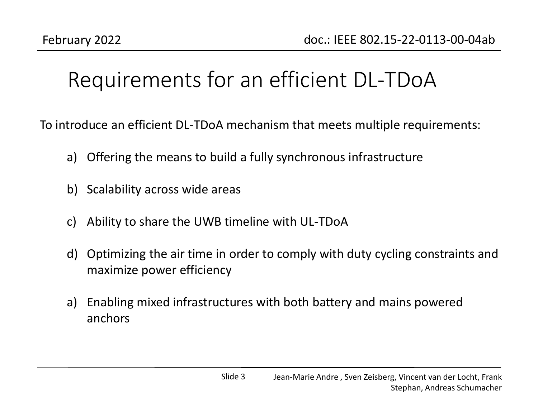## Requirements for an efficient DL-TDoA

To introduce an efficient DL-TDoA mechanism that meets multiple requirements:

- a) Offering the means to build a fully synchronous infrastructure
- b) Scalability across wide areas
- c) Ability to share the UWB timeline with UL-TDoA
- d) Optimizing the air time in order to comply with duty cycling constraints and maximize power efficiency
- a) Enabling mixed infrastructures with both battery and mains powered anchors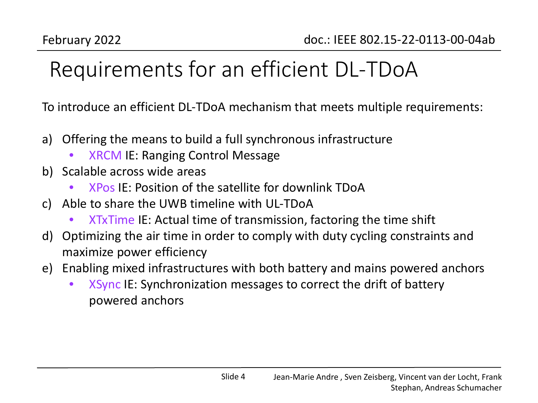# Requirements for an efficient DL-TDoA

To introduce an efficient DL-TDoA mechanism that meets multiple requirements:

- a) Offering the means to build a full synchronous infrastructure
	- XRCM IE: Ranging Control Message
- b) Scalable across wide areas
	- XPos IE: Position of the satellite for downlink TDoA
- c) Able to share the UWB timeline with UL-TDoA
	- XTxTime IE: Actual time of transmission, factoring the time shift
- d) Optimizing the air time in order to comply with duty cycling constraints and maximize power efficiency
- e) Enabling mixed infrastructures with both battery and mains powered anchors
	- XSync IE: Synchronization messages to correct the drift of battery powered anchors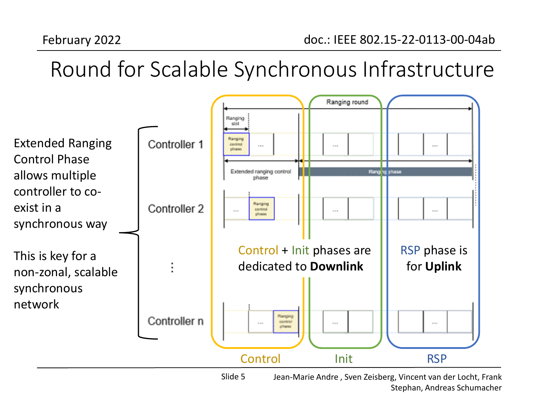# Round for Scalable Synchronous Infrastructure



Jean-Marie Andre , Sven Zeisberg, Vincent van der Locht, Frank Stephan, Andreas Schumacher Slide 5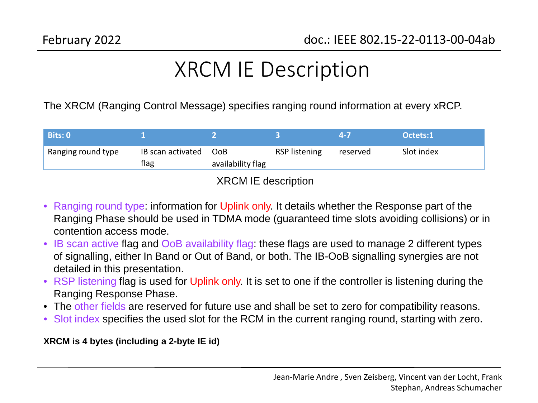### XRCM IE Description

The XRCM (Ranging Control Message) specifies ranging round information at every xRCP.

| Bits: 0            |                           |                                 |               |          | Octets:1   |
|--------------------|---------------------------|---------------------------------|---------------|----------|------------|
| Ranging round type | IB scan activated<br>flag | <b>OoB</b><br>availability flag | RSP listening | reserved | Slot index |

#### XRCM IE description

- Ranging round type: information for Uplink only. It details whether the Response part of the Ranging Phase should be used in TDMA mode (guaranteed time slots avoiding collisions) or in contention access mode.
- IB scan active flag and OoB availability flag: these flags are used to manage 2 different types of signalling, either In Band or Out of Band, or both. The IB-OoB signalling synergies are not detailed in this presentation.
- RSP listening flag is used for Uplink only. It is set to one if the controller is listening during the Ranging Response Phase.
- The other fields are reserved for future use and shall be set to zero for compatibility reasons.
- Slot index specifies the used slot for the RCM in the current ranging round, starting with zero.

**XRCM is 4 bytes (including a 2-byte IE id)**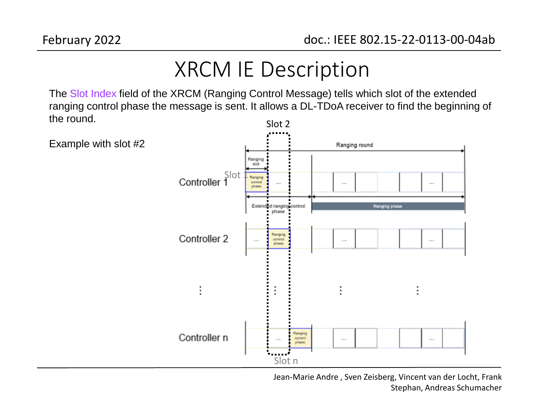Example with slot #2

### XRCM IE Description

The Slot Index field of the XRCM (Ranging Control Message) tells which slot of the extended ranging control phase the message is sent. It allows a DL-TDoA receiver to find the beginning of the round. Slot 2



Jean-Marie Andre , Sven Zeisberg, Vincent van der Locht, Frank Stephan, Andreas Schumacher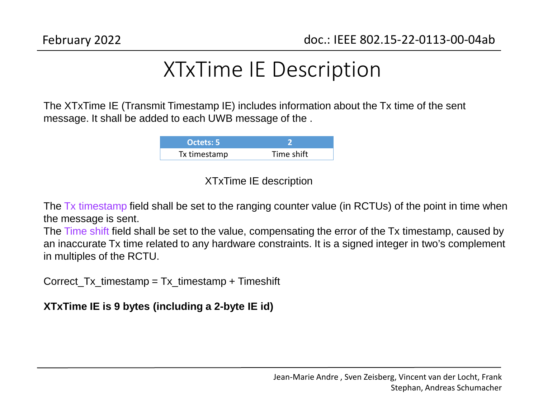### XTxTime IE Description

The XTxTime IE (Transmit Timestamp IE) includes information about the Tx time of the sent message. It shall be added to each UWB message of the .

| Octets: 5    |            |
|--------------|------------|
| Tx timestamp | Time shift |

#### XTxTime IE description

The Tx timestamp field shall be set to the ranging counter value (in RCTUs) of the point in time when the message is sent.

The Time shift field shall be set to the value, compensating the error of the Tx timestamp, caused by an inaccurate Tx time related to any hardware constraints. It is a signed integer in two's complement in multiples of the RCTU.

Correct  $Tx$  timestamp = Tx timestamp + Timeshift

**XTxTime IE is 9 bytes (including a 2-byte IE id)**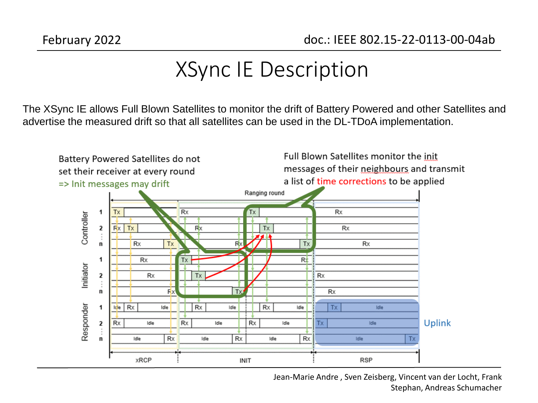The XSync IE allows Full Blown Satellites to monitor the drift of Battery Powered and other Satellites and advertise the measured drift so that all satellites can be used in the DL-TDoA implementation.



Jean-Marie Andre , Sven Zeisberg, Vincent van der Locht, Frank Stephan, Andreas Schumacher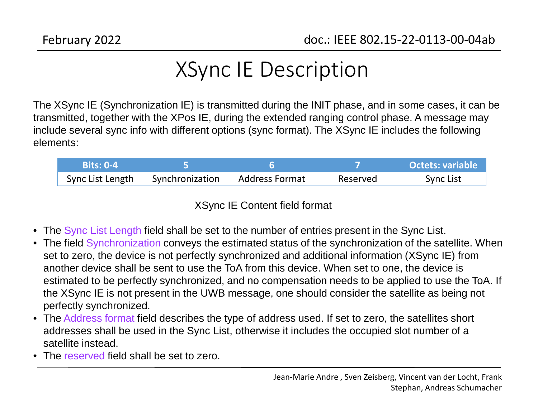The XSync IE (Synchronization IE) is transmitted during the INIT phase, and in some cases, it can be transmitted, together with the XPos IE, during the extended ranging control phase. A message may include several sync info with different options (sync format). The XSync IE includes the following elements:

| <b>Bits: 0-4</b> |                 |                |          | Octets: variable |
|------------------|-----------------|----------------|----------|------------------|
| Sync List Length | Synchronization | Address Format | Reserved | Sync List        |

XSync IE Content field format

- The Sync List Length field shall be set to the number of entries present in the Sync List.
- The field Synchronization conveys the estimated status of the synchronization of the satellite. When set to zero, the device is not perfectly synchronized and additional information (XSync IE) from another device shall be sent to use the ToA from this device. When set to one, the device is estimated to be perfectly synchronized, and no compensation needs to be applied to use the ToA. If the XSync IE is not present in the UWB message, one should consider the satellite as being not perfectly synchronized.
- The Address format field describes the type of address used. If set to zero, the satellites short addresses shall be used in the Sync List, otherwise it includes the occupied slot number of a satellite instead.
- The reserved field shall be set to zero.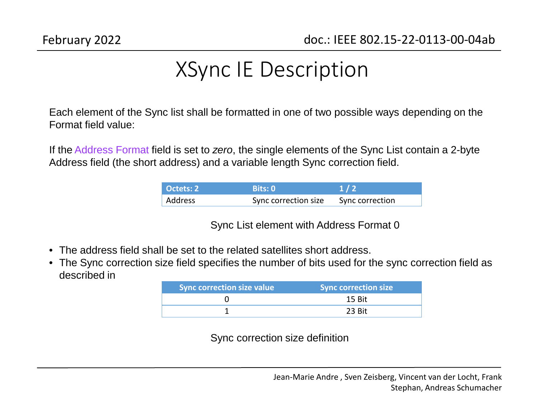Each element of the Sync list shall be formatted in one of two possible ways depending on the Format field value:

If the Address Format field is set to *zero*, the single elements of the Sync List contain a 2-byte Address field (the short address) and a variable length Sync correction field.

| Octets: 2 | Bits: 0              | $\sqrt{1/2}$    |
|-----------|----------------------|-----------------|
| ' Address | Sync correction size | Sync correction |

Sync List element with Address Format 0

- The address field shall be set to the related satellites short address.
- The Sync correction size field specifies the number of bits used for the sync correction field as described in

| Sync correction size value | <b>Sync correction size</b> |
|----------------------------|-----------------------------|
|                            | 15 Bit                      |
|                            | 23 Bit                      |

Sync correction size definition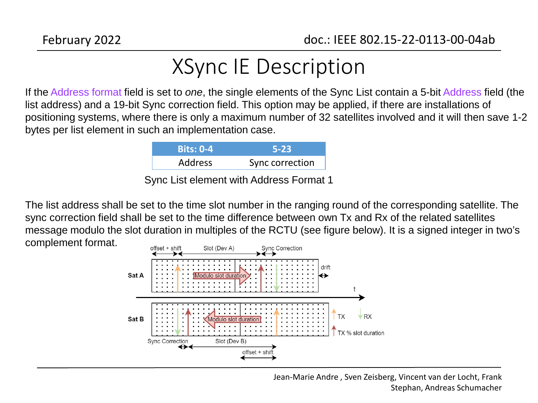If the Address format field is set to *one*, the single elements of the Sync List contain a 5-bit Address field (the list address) and a 19-bit Sync correction field. This option may be applied, if there are installations of positioning systems, where there is only a maximum number of 32 satellites involved and it will then save 1-2 bytes per list element in such an implementation case.

| <b>Bits: 0-4</b> | <b>5-23</b>     |
|------------------|-----------------|
| <b>Address</b>   | Sync correction |
|                  |                 |

Sync List element with Address Format 1

The list address shall be set to the time slot number in the ranging round of the corresponding satellite. The sync correction field shall be set to the time difference between own Tx and Rx of the related satellites message modulo the slot duration in multiples of the RCTU (see figure below). It is a signed integer in two's complement format.



Jean-Marie Andre , Sven Zeisberg, Vincent van der Locht, Frank Stephan, Andreas Schumacher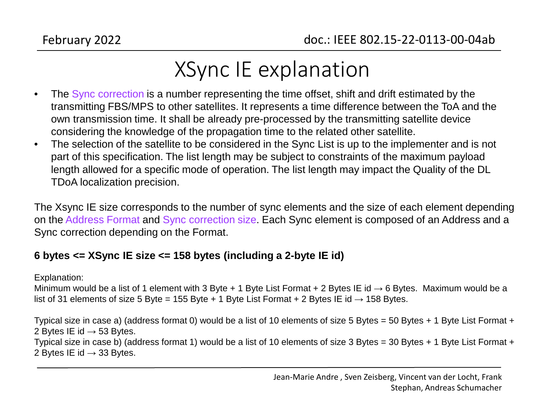## XSync IE explanation

- The Sync correction is a number representing the time offset, shift and drift estimated by the transmitting FBS/MPS to other satellites. It represents a time difference between the ToA and the own transmission time. It shall be already pre-processed by the transmitting satellite device considering the knowledge of the propagation time to the related other satellite.
- The selection of the satellite to be considered in the Sync List is up to the implementer and is not part of this specification. The list length may be subject to constraints of the maximum payload length allowed for a specific mode of operation. The list length may impact the Quality of the DL TDoA localization precision.

The Xsync IE size corresponds to the number of sync elements and the size of each element depending on the Address Format and Sync correction size. Each Sync element is composed of an Address and a Sync correction depending on the Format.

#### **6 bytes <= XSync IE size <= 158 bytes (including a 2-byte IE id)**

#### Explanation:

Minimum would be a list of 1 element with 3 Byte + 1 Byte List Format + 2 Bytes IE id  $\rightarrow$  6 Bytes. Maximum would be a list of 31 elements of size 5 Byte = 155 Byte + 1 Byte List Format + 2 Bytes IE id  $\rightarrow$  158 Bytes.

Typical size in case a) (address format 0) would be a list of 10 elements of size 5 Bytes = 50 Bytes + 1 Byte List Format + 2 Bytes IE id  $\rightarrow$  53 Bytes.

Typical size in case b) (address format 1) would be a list of 10 elements of size 3 Bytes = 30 Bytes + 1 Byte List Format + 2 Bytes IE id  $\rightarrow$  33 Bytes.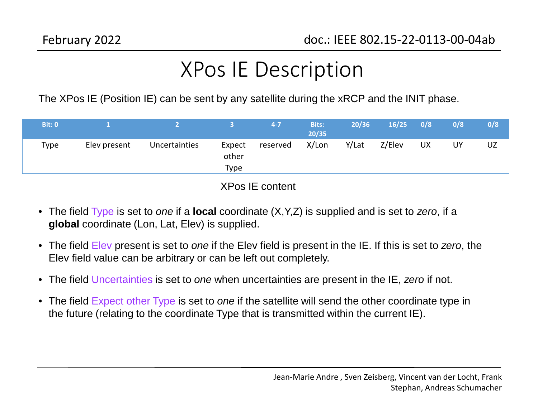### XPos IE Description

The XPos IE (Position IE) can be sent by any satellite during the xRCP and the INIT phase.

| <b>Bit: 0</b> |              |               |                                | $4 - 7$  | <b>Bits:</b><br>20/35 | 20/36 | 16/25  | 0/8       | 0/8 | 0/8 |
|---------------|--------------|---------------|--------------------------------|----------|-----------------------|-------|--------|-----------|-----|-----|
| Type          | Elev present | Uncertainties | Expect<br>other<br><b>Type</b> | reserved | X/Lon                 | Y/Lat | Z/Elev | <b>UX</b> | UY  | UZ  |

XPos IE content

- The field Type is set to *one* if a **local** coordinate (X,Y,Z) is supplied and is set to *zero*, if a **global** coordinate (Lon, Lat, Elev) is supplied.
- The field Elev present is set to *one* if the Elev field is present in the IE. If this is set to *zero*, the Elev field value can be arbitrary or can be left out completely.
- The field Uncertainties is set to *one* when uncertainties are present in the IE, *zero* if not.
- The field Expect other Type is set to *one* if the satellite will send the other coordinate type in the future (relating to the coordinate Type that is transmitted within the current IE).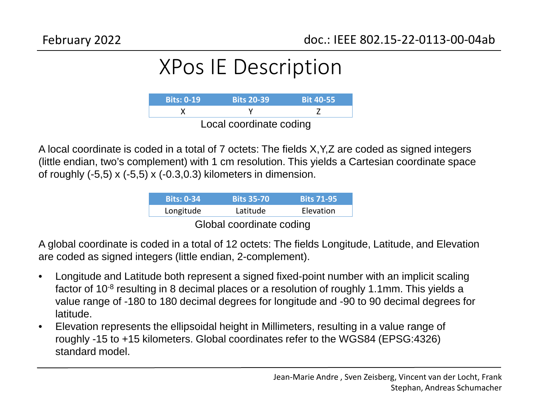### XPos IE Description



A local coordinate is coded in a total of 7 octets: The fields X,Y,Z are coded as signed integers (little endian, two's complement) with 1 cm resolution. This yields a Cartesian coordinate space of roughly  $(-5,5)$  x  $(-5,5)$  x  $(-0.3,0.3)$  kilometers in dimension.

| <b>Bits: 0-34</b>        | <b>Bits 35-70</b> | <b>Bits 71-95</b> |  |  |  |
|--------------------------|-------------------|-------------------|--|--|--|
| Longitude                | Latitude          | Elevation         |  |  |  |
| Global coordinate coding |                   |                   |  |  |  |

A global coordinate is coded in a total of 12 octets: The fields Longitude, Latitude, and Elevation are coded as signed integers (little endian, 2-complement).

- Longitude and Latitude both represent a signed fixed-point number with an implicit scaling factor of 10<sup>-8</sup> resulting in 8 decimal places or a resolution of roughly 1.1mm. This yields a value range of -180 to 180 decimal degrees for longitude and -90 to 90 decimal degrees for latitude.
- Elevation represents the ellipsoidal height in Millimeters, resulting in a value range of roughly -15 to +15 kilometers. Global coordinates refer to the WGS84 (EPSG:4326) standard model.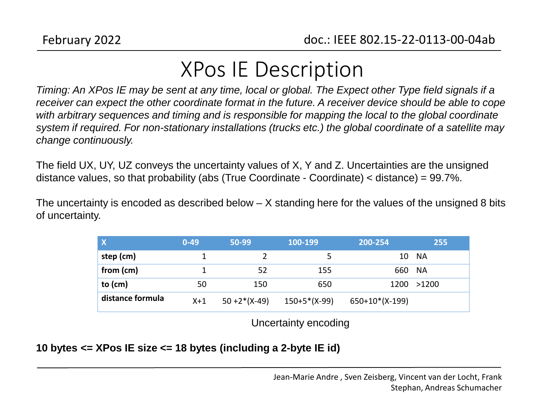### XPos IE Description

*Timing: An XPos IE may be sent at any time, local or global. The Expect other Type field signals if a receiver can expect the other coordinate format in the future. A receiver device should be able to cope with arbitrary sequences and timing and is responsible for mapping the local to the global coordinate system if required. For non-stationary installations (trucks etc.) the global coordinate of a satellite may change continuously.* 

The field UX, UY, UZ conveys the uncertainty values of X, Y and Z. Uncertainties are the unsigned distance values, so that probability (abs (True Coordinate - Coordinate) < distance) = 99.7%.

The uncertainty is encoded as described below – X standing here for the values of the unsigned 8 bits of uncertainty.

| $\mathbf{X}$     | $0 - 49$ | 50-99           | 100-199        | 200-254        | 255   |
|------------------|----------|-----------------|----------------|----------------|-------|
| step (cm)        |          |                 |                | 10-            | -NA   |
| from (cm)        |          | 52              | 155            | 660            | - NA  |
| to $(cm)$        | 50       | 150             | 650            | 1200           | >1200 |
| distance formula | $X+1$    | $50 + 2*(X-49)$ | $150+5*(X-99)$ | 650+10*(X-199) |       |

Uncertainty encoding

#### **10 bytes <= XPos IE size <= 18 bytes (including a 2-byte IE id)**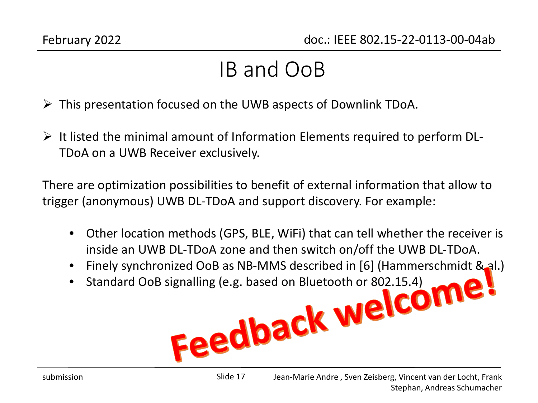#### IB and OoB

- $\triangleright$  This presentation focused on the UWB aspects of Downlink TDoA.
- $\triangleright$  It listed the minimal amount of Information Elements required to perform DL-TDoA on a UWB Receiver exclusively.

There are optimization possibilities to benefit of external information that allow to trigger (anonymous) UWB DL-TDoA and support discovery. For example:

- Other location methods (GPS, BLE, WiFi) that can tell whether the receiver is inside an UWB DL-TDoA zone and then switch on/off the UWB DL-TDoA.
- Finely synchronized OoB as NB-MMS described in [6] (Hammerschmidt & al.)<br>Standard OoB signalling (e.g. based on Bluetooth or 802.15.4)<br>EQAMBIC MELCOME
- Standard OoB signalling (e.g. based on Bluetooth or 802.15.4)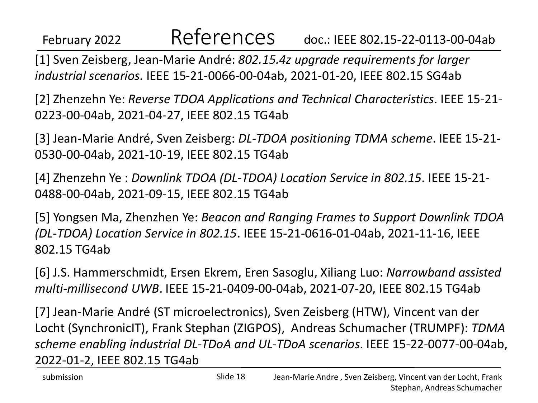#### February 2022 doc.: IEEE 802.15-22-0113-00-04ab References

[1] Sven Zeisberg, Jean-Marie André: *802.15.4z upgrade requirements for larger industrial scenarios*. IEEE 15-21-0066-00-04ab, 2021-01-20, IEEE 802.15 SG4ab

[2] Zhenzehn Ye: *Reverse TDOA Applications and Technical Characteristics*. IEEE 15-21- 0223-00-04ab, 2021-04-27, IEEE 802.15 TG4ab

[3] Jean-Marie André, Sven Zeisberg: *DL-TDOA positioning TDMA scheme*. IEEE 15-21- 0530-00-04ab, 2021-10-19, IEEE 802.15 TG4ab

[4] Zhenzehn Ye : *Downlink TDOA (DL-TDOA) Location Service in 802.15*. IEEE 15-21- 0488-00-04ab, 2021-09-15, IEEE 802.15 TG4ab

[5] Yongsen Ma, Zhenzhen Ye: *Beacon and Ranging Frames to Support Downlink TDOA (DL-TDOA) Location Service in 802.15*. IEEE 15-21-0616-01-04ab, 2021-11-16, IEEE 802.15 TG4ab

[6] J.S. Hammerschmidt, Ersen Ekrem, Eren Sasoglu, Xiliang Luo: *Narrowband assisted multi-millisecond UWB*. IEEE 15-21-0409-00-04ab, 2021-07-20, IEEE 802.15 TG4ab

[7] Jean-Marie André (ST microelectronics), Sven Zeisberg (HTW), Vincent van der Locht (SynchronicIT), Frank Stephan (ZIGPOS), Andreas Schumacher (TRUMPF): *TDMA scheme enabling industrial DL-TDoA and UL-TDoA scenarios*. IEEE 15-22-0077-00-04ab, 2022-01-2, IEEE 802.15 TG4ab